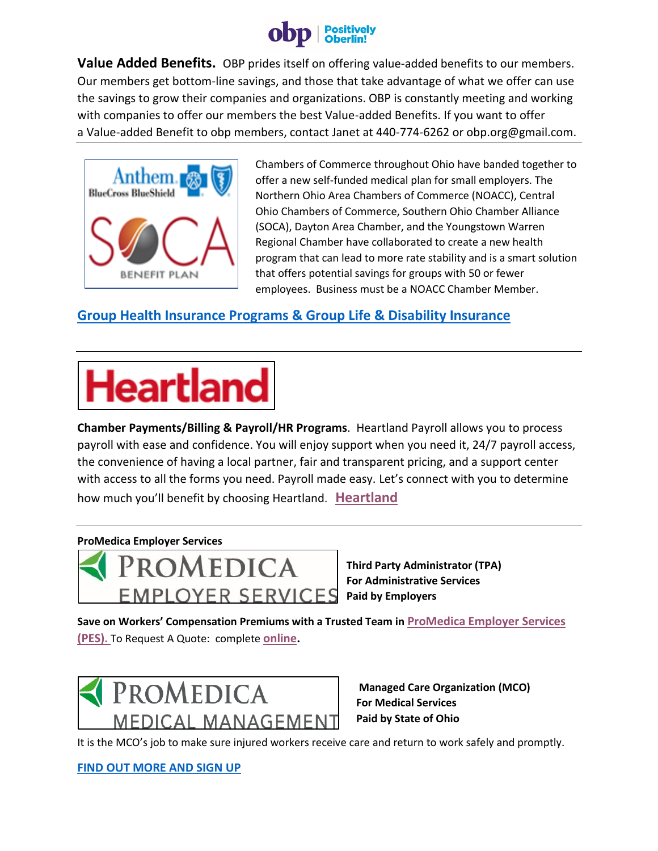

**Value Added Benefits.** OBP prides itself on offering value-added benefits to our members. Our members get bottom-line savings, and those that take advantage of what we offer can use the savings to grow their companies and organizations. OBP is constantly meeting and working with companies to offer our members the best Value-added Benefits. If you want to offer a Value-added Benefit to obp members, contact Janet at 440-774-6262 or obp.org@gmail.com.



Chambers of Commerce throughout Ohio have banded together to offer a new self-funded medical plan for small employers. The Northern Ohio Area Chambers of Commerce (NOACC), Central Ohio Chambers of Commerce, Southern Ohio Chamber Alliance (SOCA), Dayton Area Chamber, and the Youngstown Warren Regional Chamber have collaborated to create a new health program that can lead to more rate stability and is a smart solution that offers potential savings for groups with 50 or fewer employees. Business must be a NOACC Chamber Member.

## **[Group Health Insurance Programs & Group Life & Disability Insurance](https://noacc.org/benefits/group-health-insurance/)**

## **Heartland**

**Chamber Payments/Billing & Payroll/HR Programs**. Heartland Payroll allows you to process payroll with ease and confidence. You will enjoy support when you need it, 24/7 payroll access, the convenience of having a local partner, fair and transparent pricing, and a support center with access to all the forms you need. Payroll made easy. Let's connect with you to determine how much you'll benefit by choosing Heartland. **[Heartland](https://noacc.org/benefits/payroll-credit-card/)**

## **ProMedica Employer Services**



**Third Party Administrator (TPA) For Administrative Services**

**Save on Workers' Compensation Premiums with a Trusted Team in [ProMedica Employer Services](http://www.promedica.org/employer-solutions/employer-services/)  [\(PES\)](http://www.promedica.org/employer-solutions/employer-services/).** To Request A Quote: complete **[online.](https://www.yourworkplacesolutions.com/forms/get-a-quote-2020)**



 **Managed Care Organization (MCO) For Medical Services Paid by State of Ohio**

It is the MCO's job to make sure injured workers receive care and return to work safely and promptly.

**[FIND OUT MORE AND SIGN UP](https://noacc.org/benefits/workers-comp-discounts/)**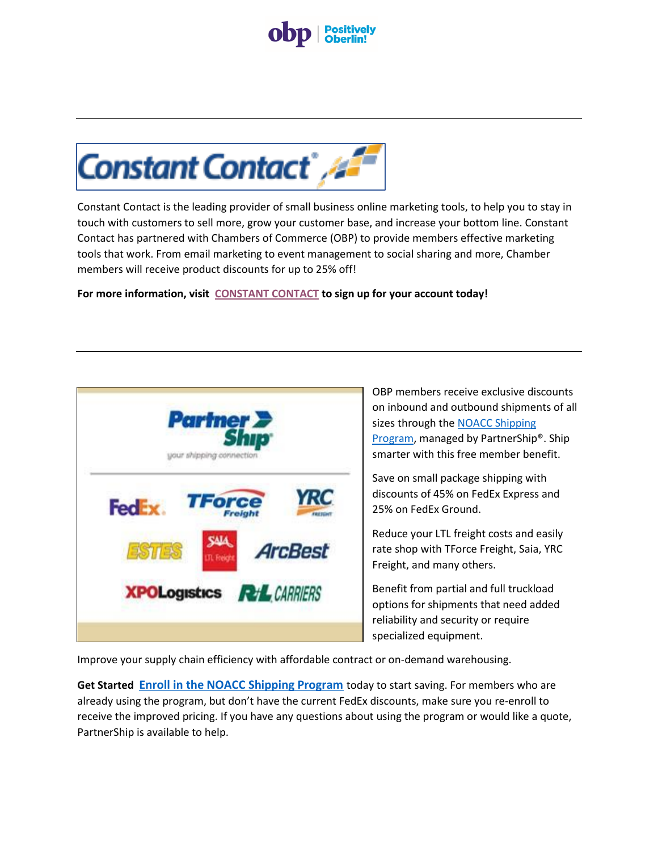



Constant Contact is the leading provider of small business online marketing tools, to help you to stay in touch with customers to sell more, grow your customer base, and increase your bottom line. Constant Contact has partnered with Chambers of Commerce (OBP) to provide members effective marketing tools that work. From email marketing to event management to social sharing and more, Chamber members will receive product discounts for up to 25% off!

**For more information, visit [CONSTANT CONTACT](https://go.constantcontact.com/signup.jsp?pn=oberlinbizpartnership) to sign up for your account today!**



OBP members receive exclusive discounts on inbound and outbound shipments of all sizes through the [NOACC Shipping](https://www.partnership.com/micro-site/index/89NOACC?utm_source=association&utm_medium=description&utm_campaign=NOACC(8728))  [Program,](https://www.partnership.com/micro-site/index/89NOACC?utm_source=association&utm_medium=description&utm_campaign=NOACC(8728)) managed by PartnerShip®. Ship smarter with this free member benefit.

Save on small package shipping with discounts of 45% on FedEx Express and 25% on FedEx Ground.

Reduce your LTL freight costs and easily rate shop with TForce Freight, Saia, YRC Freight, and many others.

Benefit from partial and full truckload options for shipments that need added reliability and security or require specialized equipment.

Improve your supply chain efficiency with affordable contract or on-demand warehousing.

**Get Started [Enroll in the NOACC Shipping Program](https://www.partnership.com/micro-site/enroll-now/89NOACC?promo_code=8728&utm_source=association&utm_medium=description&utm_campaign=NOACC(8728))** today to start saving. For members who are already using the program, but don't have the current FedEx discounts, make sure you re-enroll to receive the improved pricing. If you have any questions about using the program or would like a quote, PartnerShip is available to help.